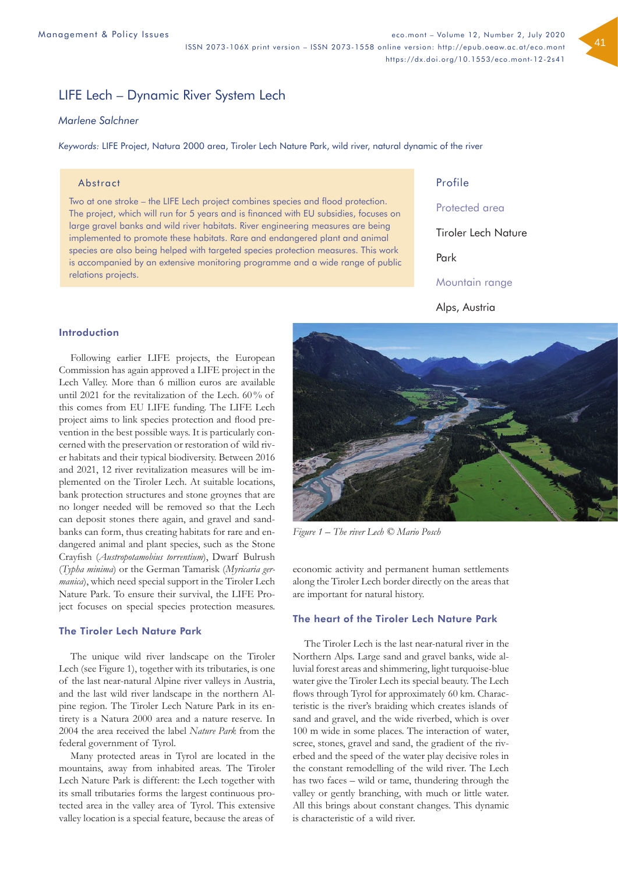# LIFE Lech – Dynamic River System Lech

# *Marlene Salchner*

*Keywords:* LIFE Project, Natura 2000 area, Tiroler Lech Nature Park, wild river, natural dynamic of the river

## **Abstract**

Two at one stroke – the LIFE Lech project combines species and flood protection. The project, which will run for 5 years and is financed with EU subsidies, focuses on large gravel banks and wild river habitats. River engineering measures are being implemented to promote these habitats. Rare and endangered plant and animal species are also being helped with targeted species protection measures. This work is accompanied by an extensive monitoring programme and a wide range of public relations projects.

Profile

Protected area

Tiroler Lech Nature

Park

Mountain range

Alps, Austria

# Introduction

Following earlier LIFE projects, the European Commission has again approved a LIFE project in the Lech Valley. More than 6 million euros are available until 2021 for the revitalization of the Lech. 60% of this comes from EU LIFE funding. The LIFE Lech project aims to link species protection and flood prevention in the best possible ways. It is particularly concerned with the preservation or restoration of wild river habitats and their typical biodiversity. Between 2016 and 2021, 12 river revitalization measures will be implemented on the Tiroler Lech. At suitable locations, bank protection structures and stone groynes that are no longer needed will be removed so that the Lech can deposit stones there again, and gravel and sandbanks can form, thus creating habitats for rare and endangered animal and plant species, such as the Stone Crayfish (*Austropotamobius torrentium*), Dwarf Bulrush (*Typha minima*) or the German Tamarisk (*Myricaria germanica*), which need special support in the Tiroler Lech Nature Park. To ensure their survival, the LIFE Project focuses on special species protection measures.

# The Tiroler Lech Nature Park

The unique wild river landscape on the Tiroler Lech (see Figure 1), together with its tributaries, is one of the last near-natural Alpine river valleys in Austria, and the last wild river landscape in the northern Alpine region. The Tiroler Lech Nature Park in its entirety is a Natura 2000 area and a nature reserve. In 2004 the area received the label *Nature Park* from the federal government of Tyrol.

Many protected areas in Tyrol are located in the mountains, away from inhabited areas. The Tiroler Lech Nature Park is different: the Lech together with its small tributaries forms the largest continuous protected area in the valley area of Tyrol. This extensive valley location is a special feature, because the areas of



*Figure 1 – The river Lech © Mario Posch* 

economic activity and permanent human settlements along the Tiroler Lech border directly on the areas that are important for natural history.

# The heart of the Tiroler Lech Nature Park

The Tiroler Lech is the last near-natural river in the Northern Alps. Large sand and gravel banks, wide alluvial forest areas and shimmering, light turquoise-blue water give the Tiroler Lech its special beauty. The Lech flows through Tyrol for approximately 60 km. Characteristic is the river's braiding which creates islands of sand and gravel, and the wide riverbed, which is over 100 m wide in some places. The interaction of water, scree, stones, gravel and sand, the gradient of the riverbed and the speed of the water play decisive roles in the constant remodelling of the wild river. The Lech has two faces – wild or tame, thundering through the valley or gently branching, with much or little water. All this brings about constant changes. This dynamic is characteristic of a wild river.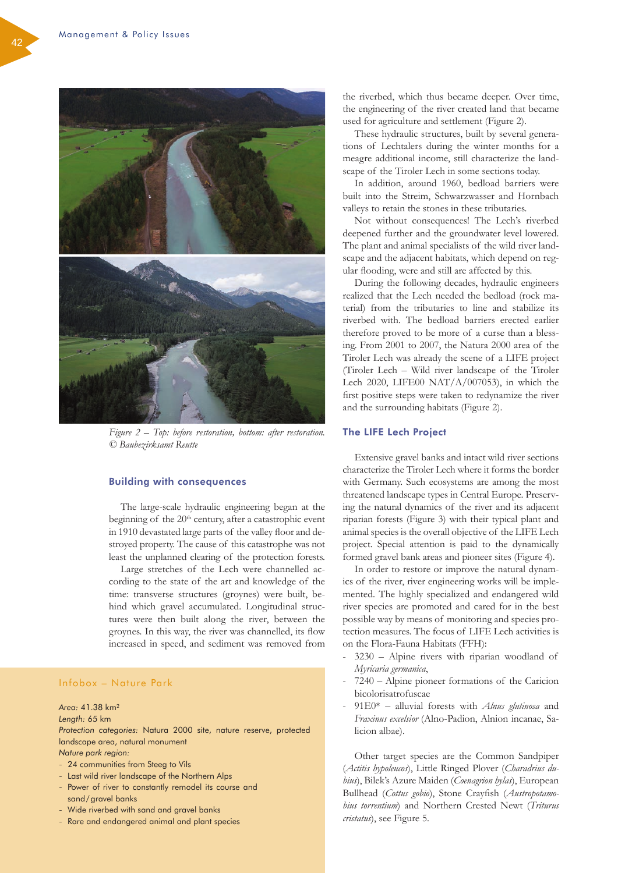

*Figure 2 – Top: before restoration, bottom: after restoration. © Baubezirksamt Reutte* 

## Building with consequences

The large-scale hydraulic engineering began at the beginning of the  $20<sup>th</sup>$  century, after a catastrophic event in 1910 devastated large parts of the valley floor and destroyed property. The cause of this catastrophe was not least the unplanned clearing of the protection forests.

Large stretches of the Lech were channelled according to the state of the art and knowledge of the time: transverse structures (groynes) were built, behind which gravel accumulated. Longitudinal structures were then built along the river, between the groynes. In this way, the river was channelled, its flow increased in speed, and sediment was removed from

# Infobox – Nature Park

*Area:* 41.38 km²

*Length:* 65 km

*Protection categories:* Natura 2000 site, nature reserve, protected landscape area, natural monument *Nature park region:*

- 24 communities from Steeg to Vils
- Last wild river landscape of the Northern Alps
- Power of river to constantly remodel its course and sand/gravel banks
- Wide riverbed with sand and gravel banks
- Rare and endangered animal and plant species

the riverbed, which thus became deeper. Over time, the engineering of the river created land that became used for agriculture and settlement (Figure 2).

These hydraulic structures, built by several generations of Lechtalers during the winter months for a meagre additional income, still characterize the landscape of the Tiroler Lech in some sections today.

In addition, around 1960, bedload barriers were built into the Streim, Schwarzwasser and Hornbach valleys to retain the stones in these tributaries.

Not without consequences! The Lech's riverbed deepened further and the groundwater level lowered. The plant and animal specialists of the wild river landscape and the adjacent habitats, which depend on regular flooding, were and still are affected by this.

During the following decades, hydraulic engineers realized that the Lech needed the bedload (rock material) from the tributaries to line and stabilize its riverbed with. The bedload barriers erected earlier therefore proved to be more of a curse than a blessing. From 2001 to 2007, the Natura 2000 area of the Tiroler Lech was already the scene of a LIFE project (Tiroler Lech – Wild river landscape of the Tiroler Lech 2020, LIFE00 NAT/ $A/007053$ ), in which the first positive steps were taken to redynamize the river and the surrounding habitats (Figure 2).

#### The LIFE Lech Project

Extensive gravel banks and intact wild river sections characterize the Tiroler Lech where it forms the border with Germany. Such ecosystems are among the most threatened landscape types in Central Europe. Preserving the natural dynamics of the river and its adjacent riparian forests (Figure 3) with their typical plant and animal species is the overall objective of the LIFE Lech project. Special attention is paid to the dynamically formed gravel bank areas and pioneer sites (Figure 4).

In order to restore or improve the natural dynamics of the river, river engineering works will be implemented. The highly specialized and endangered wild river species are promoted and cared for in the best possible way by means of monitoring and species protection measures. The focus of LIFE Lech activities is on the Flora-Fauna Habitats (FFH):

- 3230 Alpine rivers with riparian woodland of *Myricaria germanica*,
- 7240 Alpine pioneer formations of the Caricion bicolorisatrofuscae
- 91E0\* alluvial forests with *Alnus glutinosa* and *Fraxinus excelsior* (Alno-Padion, Alnion incanae, Salicion albae).

Other target species are the Common Sandpiper (*Actitis hypoleucos*), Little Ringed Plover (*Charadrius dubius*), Bilek's Azure Maiden (*Coenagrion hylas*), European Bullhead (*Cottus gobio*), Stone Crayfish (*Austropotamobius torrentium*) and Northern Crested Newt (*Triturus cristatus*), see Figure 5.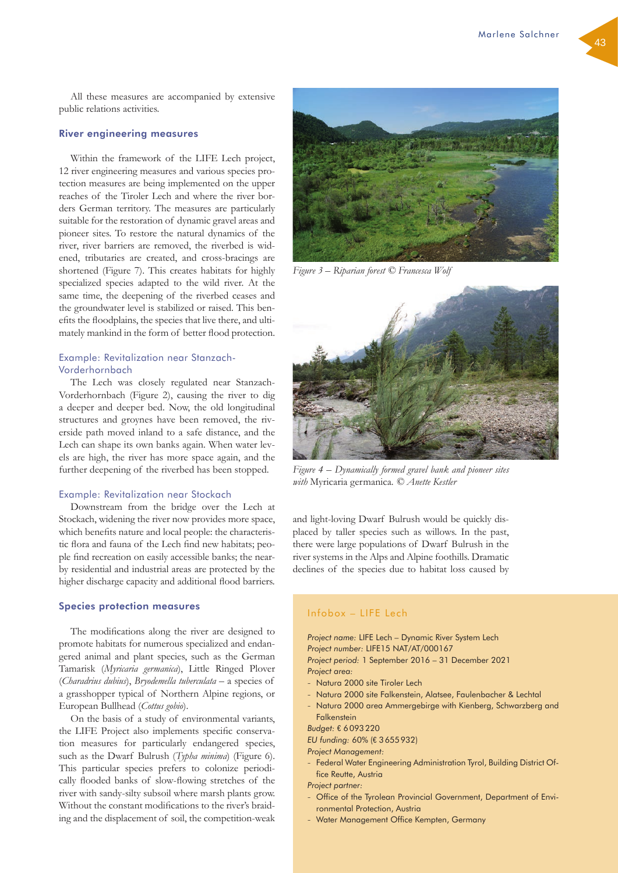All these measures are accompanied by extensive public relations activities.

#### River engineering measures

Within the framework of the LIFE Lech project, 12 river engineering measures and various species protection measures are being implemented on the upper reaches of the Tiroler Lech and where the river borders German territory. The measures are particularly suitable for the restoration of dynamic gravel areas and pioneer sites. To restore the natural dynamics of the river, river barriers are removed, the riverbed is widened, tributaries are created, and cross-bracings are shortened (Figure 7). This creates habitats for highly specialized species adapted to the wild river. At the same time, the deepening of the riverbed ceases and the groundwater level is stabilized or raised. This benefits the floodplains, the species that live there, and ultimately mankind in the form of better flood protection.

# Example: Revitalization near Stanzach-Vorderhornbach

The Lech was closely regulated near Stanzach-Vorderhornbach (Figure 2), causing the river to dig a deeper and deeper bed. Now, the old longitudinal structures and groynes have been removed, the riverside path moved inland to a safe distance, and the Lech can shape its own banks again. When water levels are high, the river has more space again, and the further deepening of the riverbed has been stopped.

#### Example: Revitalization near Stockach

Downstream from the bridge over the Lech at Stockach, widening the river now provides more space, which benefits nature and local people: the characteristic flora and fauna of the Lech find new habitats; people find recreation on easily accessible banks; the nearby residential and industrial areas are protected by the higher discharge capacity and additional flood barriers.

#### Species protection measures

The modifications along the river are designed to promote habitats for numerous specialized and endangered animal and plant species, such as the German Tamarisk (*Myricaria germanica*), Little Ringed Plover (*Charadrius dubius*), *Bryodemella tuberculata* – a species of a grasshopper typical of Northern Alpine regions, or European Bullhead (*Cottus gobio*).

On the basis of a study of environmental variants, the LIFE Project also implements specific conservation measures for particularly endangered species, such as the Dwarf Bulrush (*Typha minima*) (Figure 6). This particular species prefers to colonize periodically flooded banks of slow-flowing stretches of the river with sandy-silty subsoil where marsh plants grow. Without the constant modifications to the river's braiding and the displacement of soil, the competition-weak



*Figure 3 – Riparian forest © Francesca Wolf*



*Figure 4 – Dynamically formed gravel bank and pioneer sites with* Myricaria germanica*. © Anette Kestler*

and light-loving Dwarf Bulrush would be quickly displaced by taller species such as willows. In the past, there were large populations of Dwarf Bulrush in the river systems in the Alps and Alpine foothills. Dramatic declines of the species due to habitat loss caused by

# Infobox – LIFE Lech

*Project name:* LIFE Lech – Dynamic River System Lech *Project number:* LIFE15 NAT/AT/000167

*Project period:* 1 September 2016 – 31 December 2021 *Project area:*

- Natura 2000 site Tiroler Lech
- Natura 2000 site Falkenstein, Alatsee, Faulenbacher & Lechtal
- Natura 2000 area Ammergebirge with Kienberg, Schwarzberg and **Falkenstein**

*Budget:* € 6093220

- *EU funding:* 60% (€ 3655932)
- *Project Management:*
- Federal Water Engineering Administration Tyrol, Building District Office Reutte, Austria

*Project partner:*

- Office of the Tyrolean Provincial Government, Department of Environmental Protection, Austria
- Water Management Office Kempten, Germany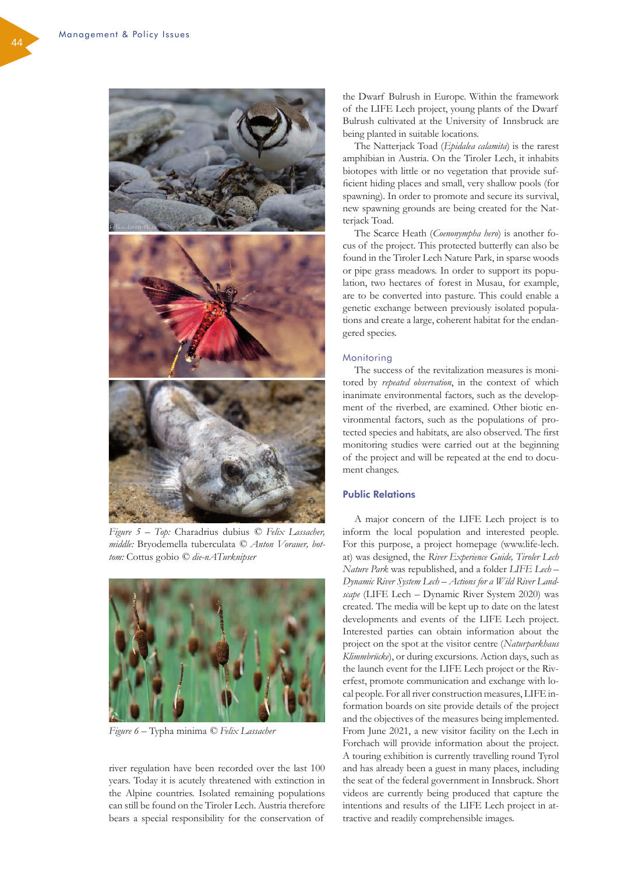

*Figure 5 – Top:* Charadrius dubius *© Felix Lassacher, middle:* Bryodemella tuberculata *© Anton Vorauer, bottom:* Cottus gobio *© die-nATurknipser*



*Figure 6 –* Typha minima *© Felix Lassacher*

river regulation have been recorded over the last 100 years. Today it is acutely threatened with extinction in the Alpine countries. Isolated remaining populations can still be found on the Tiroler Lech. Austria therefore bears a special responsibility for the conservation of

the Dwarf Bulrush in Europe. Within the framework of the LIFE Lech project, young plants of the Dwarf Bulrush cultivated at the University of Innsbruck are being planted in suitable locations.

The Natterjack Toad (*Epidalea calamita*) is the rarest amphibian in Austria. On the Tiroler Lech, it inhabits biotopes with little or no vegetation that provide sufficient hiding places and small, very shallow pools (for spawning). In order to promote and secure its survival, new spawning grounds are being created for the Natterjack Toad.

The Scarce Heath (*Coenonympha hero*) is another focus of the project. This protected butterfly can also be found in the Tiroler Lech Nature Park, in sparse woods or pipe grass meadows. In order to support its population, two hectares of forest in Musau, for example, are to be converted into pasture. This could enable a genetic exchange between previously isolated populations and create a large, coherent habitat for the endangered species.

#### Monitoring

The success of the revitalization measures is monitored by *repeated observation*, in the context of which inanimate environmental factors, such as the development of the riverbed, are examined. Other biotic environmental factors, such as the populations of protected species and habitats, are also observed. The first monitoring studies were carried out at the beginning of the project and will be repeated at the end to document changes.

# Public Relations

A major concern of the LIFE Lech project is to inform the local population and interested people. For this purpose, a project homepage (www.life-lech. at) was designed, the *River Experience Guide, Tiroler Lech Nature Park* was republished, and a folder *LIFE Lech – Dynamic River System Lech – Actions for a Wild River Landscape* (LIFE Lech – Dynamic River System 2020) was created. The media will be kept up to date on the latest developments and events of the LIFE Lech project. Interested parties can obtain information about the project on the spot at the visitor centre (*Naturparkhaus Klimmbrücke*), or during excursions. Action days, such as the launch event for the LIFE Lech project or the Riverfest, promote communication and exchange with local people. For all river construction measures, LIFE information boards on site provide details of the project and the objectives of the measures being implemented. From June 2021, a new visitor facility on the Lech in Forchach will provide information about the project. A touring exhibition is currently travelling round Tyrol and has already been a guest in many places, including the seat of the federal government in Innsbruck. Short videos are currently being produced that capture the intentions and results of the LIFE Lech project in attractive and readily comprehensible images.